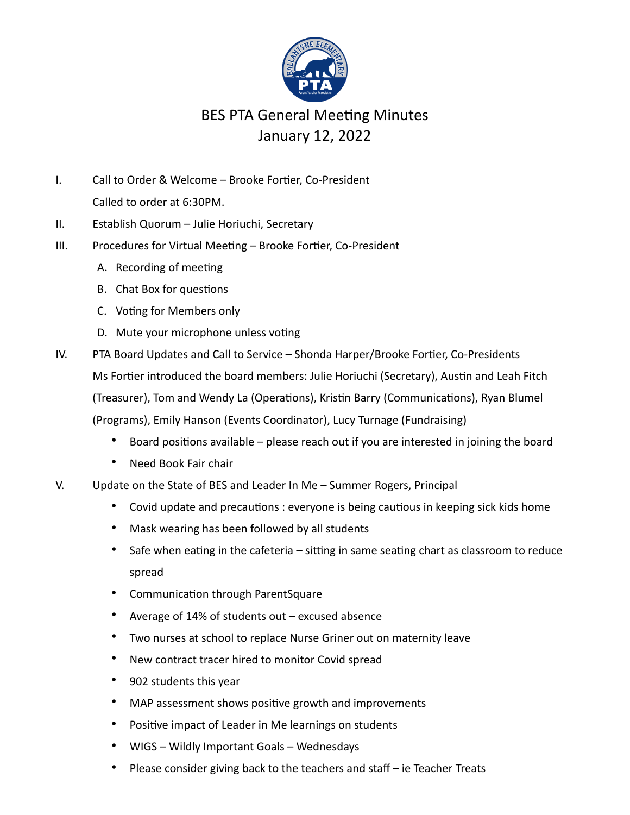

## BES PTA General Meeting Minutes January 12, 2022

- I. Call to Order & Welcome Brooke Fortier, Co-President Called to order at 6:30PM.
- II. Establish Quorum Julie Horiuchi, Secretary
- III. Procedures for Virtual Meeting Brooke Fortier, Co-President
	- A. Recording of meeting
	- B. Chat Box for questions
	- C. Voting for Members only
	- D. Mute your microphone unless voting
- IV. PTA Board Updates and Call to Service Shonda Harper/Brooke Fortier, Co-Presidents Ms Fortier introduced the board members: Julie Horiuchi (Secretary), Austin and Leah Fitch (Treasurer), Tom and Wendy La (Operations), Kristin Barry (Communications), Ryan Blumel (Programs), Emily Hanson (Events Coordinator), Lucy Turnage (Fundraising)
	- Board positions available please reach out if you are interested in joining the board
	- Need Book Fair chair
- V. Update on the State of BES and Leader In Me Summer Rogers, Principal
	- Covid update and precautions : everyone is being cautious in keeping sick kids home
	- Mask wearing has been followed by all students
	- Safe when eating in the cafeteria  $-$  sitting in same seating chart as classroom to reduce spread
	- Communication through ParentSquare
	- Average of 14% of students out excused absence
	- Two nurses at school to replace Nurse Griner out on maternity leave
	- New contract tracer hired to monitor Covid spread
	- 902 students this year
	- MAP assessment shows positive growth and improvements
	- Positive impact of Leader in Me learnings on students
	- WIGS Wildly Important Goals Wednesdays
	- Please consider giving back to the teachers and staff ie Teacher Treats